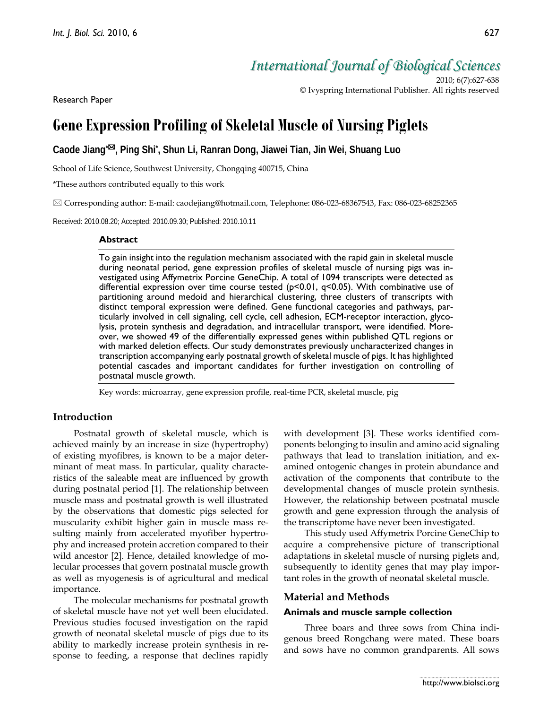*International Journal of Biological Sciences*

2010; 6(7):627-638 © Ivyspring International Publisher. All rights reserved

Research Paper

# **Gene Expression Profiling of Skeletal Muscle of Nursing Piglets**

**Caode Jiang\*, Ping Shi\* , Shun Li, Ranran Dong, Jiawei Tian, Jin Wei, Shuang Luo**

School of Life Science, Southwest University, Chongqing 400715, China

\*These authors contributed equally to this work

Corresponding author: E-mail: caodejiang@hotmail.com, Telephone: 086-023-68367543, Fax: 086-023-68252365

Received: 2010.08.20; Accepted: 2010.09.30; Published: 2010.10.11

#### **Abstract**

To gain insight into the regulation mechanism associated with the rapid gain in skeletal muscle during neonatal period, gene expression profiles of skeletal muscle of nursing pigs was investigated using Affymetrix Porcine GeneChip. A total of 1094 transcripts were detected as differential expression over time course tested (p<0.01, q<0.05). With combinative use of partitioning around medoid and hierarchical clustering, three clusters of transcripts with distinct temporal expression were defined. Gene functional categories and pathways, particularly involved in cell signaling, cell cycle, cell adhesion, ECM-receptor interaction, glycolysis, protein synthesis and degradation, and intracellular transport, were identified. Moreover, we showed 49 of the differentially expressed genes within published QTL regions or with marked deletion effects. Our study demonstrates previously uncharacterized changes in transcription accompanying early postnatal growth of skeletal muscle of pigs. It has highlighted potential cascades and important candidates for further investigation on controlling of postnatal muscle growth.

Key words: microarray, gene expression profile, real-time PCR, skeletal muscle, pig

## **Introduction**

Postnatal growth of skeletal muscle, which is achieved mainly by an increase in size (hypertrophy) of existing myofibres, is known to be a major determinant of meat mass. In particular, quality characteristics of the saleable meat are influenced by growth during postnatal period [1]. The relationship between muscle mass and postnatal growth is well illustrated by the observations that domestic pigs selected for muscularity exhibit higher gain in muscle mass resulting mainly from accelerated myofiber hypertrophy and increased protein accretion compared to their wild ancestor [2]. Hence, detailed knowledge of molecular processes that govern postnatal muscle growth as well as myogenesis is of agricultural and medical importance.

The molecular mechanisms for postnatal growth of skeletal muscle have not yet well been elucidated. Previous studies focused investigation on the rapid growth of neonatal skeletal muscle of pigs due to its ability to markedly increase protein synthesis in response to feeding, a response that declines rapidly

with development [3]. These works identified components belonging to insulin and amino acid signaling pathways that lead to translation initiation, and examined ontogenic changes in protein abundance and activation of the components that contribute to the developmental changes of muscle protein synthesis. However, the relationship between postnatal muscle growth and gene expression through the analysis of the transcriptome have never been investigated.

This study used Affymetrix Porcine GeneChip to acquire a comprehensive picture of transcriptional adaptations in skeletal muscle of nursing piglets and, subsequently to identity genes that may play important roles in the growth of neonatal skeletal muscle.

#### **Material and Methods**

#### **Animals and muscle sample collection**

Three boars and three sows from China indigenous breed Rongchang were mated. These boars and sows have no common grandparents. All sows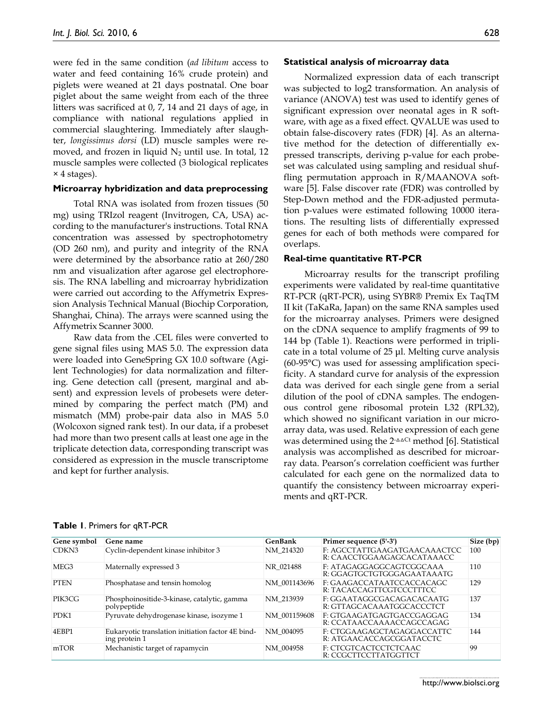were fed in the same condition (*ad libitum* access to water and feed containing 16% crude protein) and piglets were weaned at 21 days postnatal. One boar piglet about the same weight from each of the three litters was sacrificed at 0, 7, 14 and 21 days of age, in compliance with national regulations applied in commercial slaughtering. Immediately after slaughter, *longissimus dorsi* (LD) muscle samples were removed, and frozen in liquid  $N_2$  until use. In total, 12 muscle samples were collected (3 biological replicates × 4 stages).

#### **Microarray hybridization and data preprocessing**

Total RNA was isolated from frozen tissues (50 mg) using TRIzol reagent (Invitrogen, CA, USA) according to the manufacturer's instructions. Total RNA concentration was assessed by spectrophotometry (OD 260 nm), and purity and integrity of the RNA were determined by the absorbance ratio at 260/280 nm and visualization after agarose gel electrophoresis. The RNA labelling and microarray hybridization were carried out according to the Affymetrix Expression Analysis Technical Manual (Biochip Corporation, Shanghai, China). The arrays were scanned using the Affymetrix Scanner 3000.

Raw data from the .CEL files were converted to gene signal files using MAS 5.0. The expression data were loaded into GeneSpring GX 10.0 software (Agilent Technologies) for data normalization and filtering. Gene detection call (present, marginal and absent) and expression levels of probesets were determined by comparing the perfect match (PM) and mismatch (MM) probe-pair data also in MAS 5.0 (Wolcoxon signed rank test). In our data, if a probeset had more than two present calls at least one age in the triplicate detection data, corresponding transcript was considered as expression in the muscle transcriptome and kept for further analysis.

#### **Statistical analysis of microarray data**

Normalized expression data of each transcript was subjected to log2 transformation. An analysis of variance (ANOVA) test was used to identify genes of significant expression over neonatal ages in R software, with age as a fixed effect. QVALUE was used to obtain false-discovery rates (FDR) [4]. As an alternative method for the detection of differentially expressed transcripts, deriving p-value for each probeset was calculated using sampling and residual shuffling permutation approach in R/MAANOVA software [5]. False discover rate (FDR) was controlled by Step-Down method and the FDR-adjusted permutation p-values were estimated following 10000 iterations. The resulting lists of differentially expressed genes for each of both methods were compared for overlaps.

#### **Real-time quantitative RT-PCR**

Microarray results for the transcript profiling experiments were validated by real-time quantitative RT-PCR (qRT-PCR), using SYBR® Premix Ex TaqTM II kit (TaKaRa, Japan) on the same RNA samples used for the microarray analyses. Primers were designed on the cDNA sequence to amplify fragments of 99 to 144 bp (Table 1). Reactions were performed in triplicate in a total volume of 25 μl. Melting curve analysis (60-95°C) was used for assessing amplification specificity. A standard curve for analysis of the expression data was derived for each single gene from a serial dilution of the pool of cDNA samples. The endogenous control gene ribosomal protein L32 (RPL32), which showed no significant variation in our microarray data, was used. Relative expression of each gene was determined using the  $2$ - $\triangle^{\triangle}$ Ct method [6]. Statistical analysis was accomplished as described for microarray data. Pearson's correlation coefficient was further calculated for each gene on the normalized data to quantify the consistency between microarray experiments and qRT-PCR.

| Gene symbol | Gene name                                                          | GenBank      | Primer sequence (5'-3')                                    | Size (bp) |
|-------------|--------------------------------------------------------------------|--------------|------------------------------------------------------------|-----------|
| CDKN3       | Cyclin-dependent kinase inhibitor 3                                | NM 214320    | F: AGCCTATTGAAGATGAACAAACTCC<br>R: CAACCTGGAAGAGCACATAAACC | 100       |
| MEG3        | Maternally expressed 3                                             | NR 021488    | F: ATAGAGGAGGCAGTCGGCAAA<br>R: GGAGTGCTGTGGGAGAATAAATG     | 110       |
| <b>PTEN</b> | Phosphatase and tensin homolog                                     | NM 001143696 | F: GAAGACCATAATCCACCACAGC<br>R: TACACCAGTTCGTCCCTTTCC      | 129       |
| PIK3CG      | Phosphoinositide-3-kinase, catalytic, gamma<br>polypeptide         | NM 213939    | F: GGAATAGGCGACAGACACAATG<br>R: GTTAGCACAAATGGCACCCTCT     | 137       |
| PDK1        | Pyruvate dehydrogenase kinase, isozyme 1                           | NM 001159608 | F: GTGAAGATGAGTGACCGAGGAG<br>R: CCATAACCAAAACCAGCCAGAG     | 134       |
| 4EBP1       | Eukaryotic translation initiation factor 4E bind-<br>ing protein 1 | NM 004095    | F: CTGGAAGAGCTAGAGGACCATTC<br>R: ATGAACACCAGCGGATACCTC     | 144       |
| mTOR        | Mechanistic target of rapamycin                                    | NM 004958    | F: CTCGTCACTCCTCTCAAC<br>R: CCGCTTCCTTATGGTTCT             | 99        |

#### **Table 1**. Primers for qRT-PCR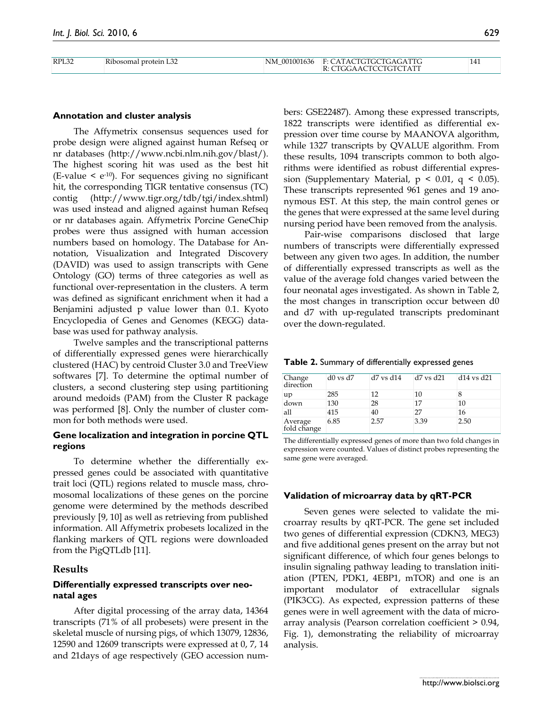| RPL32 | -Kibosomal protein L32 | 001001636<br>NΜ | $F$ CATACTGTGCTGAGATTG<br>:GAACTCCTGTCTATT | 141 |
|-------|------------------------|-----------------|--------------------------------------------|-----|

## **Annotation and cluster analysis**

The Affymetrix consensus sequences used for probe design were aligned against human Refseq or nr databases (http://www.ncbi.nlm.nih.gov/blast/). The highest scoring hit was used as the best hit (E-value  $\leq$  e<sup>-10</sup>). For sequences giving no significant hit, the corresponding TIGR tentative consensus (TC) contig (http://www.tigr.org/tdb/tgi/index.shtml) was used instead and aligned against human Refseq or nr databases again. Affymetrix Porcine GeneChip probes were thus assigned with human accession numbers based on homology. The Database for Annotation, Visualization and Integrated Discovery (DAVID) was used to assign transcripts with Gene Ontology (GO) terms of three categories as well as functional over-representation in the clusters. A term was defined as significant enrichment when it had a Benjamini adjusted p value lower than 0.1. Kyoto Encyclopedia of Genes and Genomes (KEGG) database was used for pathway analysis.

Twelve samples and the transcriptional patterns of differentially expressed genes were hierarchically clustered (HAC) by centroid Cluster 3.0 and TreeView softwares [7]. To determine the optimal number of clusters, a second clustering step using partitioning around medoids (PAM) from the Cluster R package was performed [8]. Only the number of cluster common for both methods were used.

## **Gene localization and integration in porcine QTL regions**

To determine whether the differentially expressed genes could be associated with quantitative trait loci (QTL) regions related to muscle mass, chromosomal localizations of these genes on the porcine genome were determined by the methods described previously [9, 10] as well as retrieving from published information. All Affymetrix probesets localized in the flanking markers of QTL regions were downloaded from the PigQTLdb [11].

#### **Results**

## **Differentially expressed transcripts over neonatal ages**

After digital processing of the array data, 14364 transcripts (71% of all probesets) were present in the skeletal muscle of nursing pigs, of which 13079, 12836, 12590 and 12609 transcripts were expressed at 0, 7, 14 and 21days of age respectively (GEO accession numbers: GSE22487). Among these expressed transcripts, 1822 transcripts were identified as differential expression over time course by MAANOVA algorithm, while 1327 transcripts by QVALUE algorithm. From these results, 1094 transcripts common to both algorithms were identified as robust differential expression (Supplementary Material,  $p \le 0.01$ ,  $q \le 0.05$ ). These transcripts represented 961 genes and 19 anonymous EST. At this step, the main control genes or the genes that were expressed at the same level during nursing period have been removed from the analysis.

Pair-wise comparisons disclosed that large numbers of transcripts were differentially expressed between any given two ages. In addition, the number of differentially expressed transcripts as well as the value of the average fold changes varied between the four neonatal ages investigated. As shown in Table 2, the most changes in transcription occur between d0 and d7 with up-regulated transcripts predominant over the down-regulated.

**Table 2.** Summary of differentially expressed genes

| Change<br>direction    | $d0$ vs $d7$ | $d7$ vs $d14$ | $d7$ vs $d21$ | $d14$ vs $d21$ |
|------------------------|--------------|---------------|---------------|----------------|
| up                     | 285          | 12            | 10            | 8              |
| down                   | 130          | 28            | 17            | 10             |
| all                    | 415          | 40            | 27            | 16             |
| Average<br>fold change | 6.85         | 2.57          | 3.39          | 2.50           |

The differentially expressed genes of more than two fold changes in expression were counted. Values of distinct probes representing the same gene were averaged.

#### **Validation of microarray data by qRT-PCR**

Seven genes were selected to validate the microarray results by qRT-PCR. The gene set included two genes of differential expression (CDKN3, MEG3) and five additional genes present on the array but not significant difference, of which four genes belongs to insulin signaling pathway leading to translation initiation (PTEN, PDK1, 4EBP1, mTOR) and one is an important modulator of extracellular signals (PIK3CG). As expected, expression patterns of these genes were in well agreement with the data of microarray analysis (Pearson correlation coefficient > 0.94, Fig. 1), demonstrating the reliability of microarray analysis.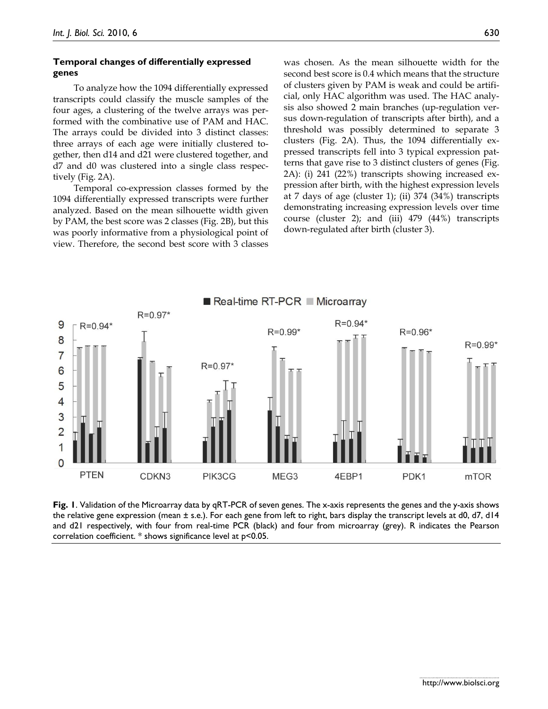## **Temporal changes of differentially expressed genes**

To analyze how the 1094 differentially expressed transcripts could classify the muscle samples of the four ages, a clustering of the twelve arrays was performed with the combinative use of PAM and HAC. The arrays could be divided into 3 distinct classes: three arrays of each age were initially clustered together, then d14 and d21 were clustered together, and d7 and d0 was clustered into a single class respectively (Fig. 2A).

Temporal co-expression classes formed by the 1094 differentially expressed transcripts were further analyzed. Based on the mean silhouette width given by PAM, the best score was 2 classes (Fig. 2B), but this was poorly informative from a physiological point of view. Therefore, the second best score with 3 classes

was chosen. As the mean silhouette width for the second best score is 0.4 which means that the structure of clusters given by PAM is weak and could be artificial, only HAC algorithm was used. The HAC analysis also showed 2 main branches (up-regulation versus down-regulation of transcripts after birth), and a threshold was possibly determined to separate 3 clusters (Fig. 2A). Thus, the 1094 differentially expressed transcripts fell into 3 typical expression patterns that gave rise to 3 distinct clusters of genes (Fig. 2A): (i) 241 (22%) transcripts showing increased expression after birth, with the highest expression levels at 7 days of age (cluster 1); (ii) 374 (34%) transcripts demonstrating increasing expression levels over time course (cluster 2); and (iii) 479 (44%) transcripts down-regulated after birth (cluster 3).



**Fig. 1**. Validation of the Microarray data by qRT-PCR of seven genes. The x-axis represents the genes and the y-axis shows the relative gene expression (mean ± s.e.). For each gene from left to right, bars display the transcript levels at d0, d7, d14 and d21 respectively, with four from real-time PCR (black) and four from microarray (grey). R indicates the Pearson correlation coefficient. \* shows significance level at p<0.05.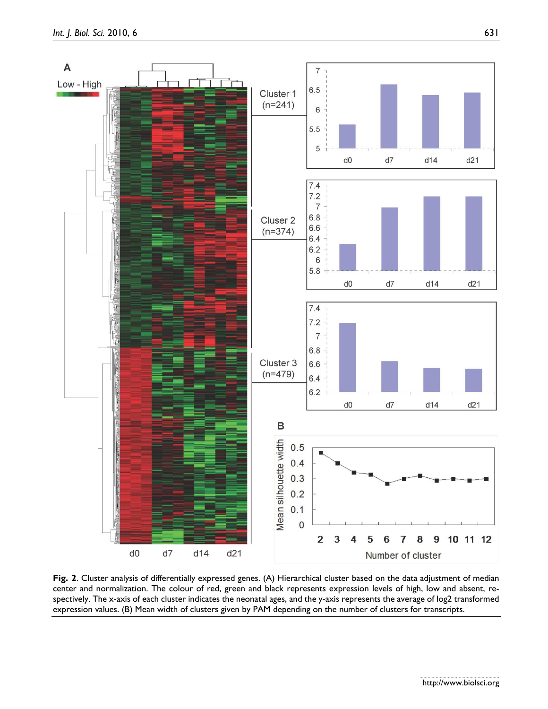

**Fig. 2**. Cluster analysis of differentially expressed genes. (A) Hierarchical cluster based on the data adjustment of median center and normalization. The colour of red, green and black represents expression levels of high, low and absent, respectively. The x-axis of each cluster indicates the neonatal ages, and the y-axis represents the average of log2 transformed expression values. (B) Mean width of clusters given by PAM depending on the number of clusters for transcripts.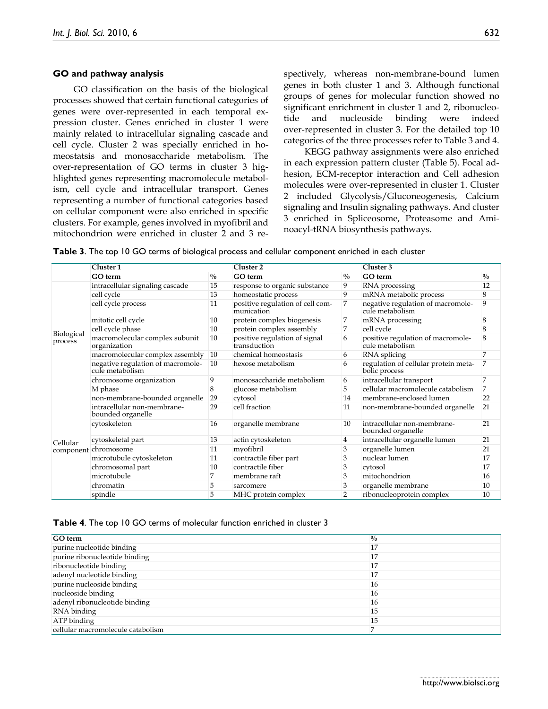#### **GO and pathway analysis**

GO classification on the basis of the biological processes showed that certain functional categories of genes were over-represented in each temporal expression cluster. Genes enriched in cluster 1 were mainly related to intracellular signaling cascade and cell cycle. Cluster 2 was specially enriched in homeostatsis and monosaccharide metabolism. The over-representation of GO terms in cluster 3 highlighted genes representing macromolecule metabolism, cell cycle and intracellular transport. Genes representing a number of functional categories based on cellular component were also enriched in specific clusters. For example, genes involved in myofibril and mitochondrion were enriched in cluster 2 and 3 respectively, whereas non-membrane-bound lumen genes in both cluster 1 and 3. Although functional groups of genes for molecular function showed no significant enrichment in cluster 1 and 2, ribonucleotide and nucleoside binding were indeed over-represented in cluster 3. For the detailed top 10 categories of the three processes refer to Table 3 and 4.

KEGG pathway assignments were also enriched in each expression pattern cluster (Table 5). Focal adhesion, ECM-receptor interaction and Cell adhesion molecules were over-represented in cluster 1. Cluster 2 included Glycolysis/Gluconeogenesis, Calcium signaling and Insulin signaling pathways. And cluster 3 enriched in Spliceosome, Proteasome and Aminoacyl-tRNA biosynthesis pathways.

**Table 3**. The top 10 GO terms of biological process and cellular component enriched in each cluster

|                              | Cluster <sub>1</sub>                                 |               | Cluster <sub>2</sub>                           |                | Cluster <sub>3</sub>                                  |               |  |
|------------------------------|------------------------------------------------------|---------------|------------------------------------------------|----------------|-------------------------------------------------------|---------------|--|
|                              | GO term                                              | $\frac{0}{0}$ | GO term                                        | $^{0}/_{0}$    | GO term                                               | $\frac{0}{0}$ |  |
|                              | intracellular signaling cascade                      | 15            | response to organic substance                  | 9              | RNA processing                                        | 12            |  |
|                              | cell cycle                                           | 13            | homeostatic process                            | 9              | mRNA metabolic process                                | 8             |  |
|                              | cell cycle process                                   | 11            | positive regulation of cell com-<br>munication | 7              | negative regulation of macromole-<br>cule metabolism  | 9             |  |
|                              | mitotic cell cycle                                   | 10            | protein complex biogenesis                     | 7              | mRNA processing                                       | 8             |  |
|                              | cell cycle phase                                     | 10            | protein complex assembly                       | 7              | cell cycle                                            | 8             |  |
| <b>Biological</b><br>process | macromolecular complex subunit<br>organization       | 10            | positive regulation of signal<br>transduction  | 6              | positive regulation of macromole-<br>cule metabolism  | 8             |  |
|                              | macromolecular complex assembly                      | 10            | chemical homeostasis                           | 6              | RNA splicing                                          | 7             |  |
|                              | negative regulation of macromole-<br>cule metabolism | 10            | hexose metabolism                              | 6              | regulation of cellular protein meta-<br>bolic process | 7             |  |
|                              | chromosome organization                              | 9             | monosaccharide metabolism                      | 6              | intracellular transport                               | 7             |  |
|                              | M phase                                              | 8             | glucose metabolism                             | 5              | cellular macromolecule catabolism                     | 7             |  |
|                              | non-membrane-bounded organelle                       | 29            | cytosol                                        | 14             | membrane-enclosed lumen                               | 22            |  |
|                              | intracellular non-membrane-<br>bounded organelle     | 29            | cell fraction                                  | 11             | non-membrane-bounded organelle                        | 21            |  |
|                              | cytoskeleton                                         | 16            | organelle membrane                             | 10             | intracellular non-membrane-<br>bounded organelle      | 21            |  |
| Cellular                     | cytoskeletal part                                    | 13            | actin cytoskeleton                             | 4              | intracellular organelle lumen                         | 21            |  |
| component                    | chromosome                                           | 11            | myofibril                                      | 3              | organelle lumen                                       | 21            |  |
|                              | microtubule cytoskeleton                             | 11            | contractile fiber part                         | 3              | nuclear lumen                                         | 17            |  |
|                              | chromosomal part                                     | 10            | contractile fiber                              | 3              | cytosol                                               | 17            |  |
|                              | microtubule                                          |               | membrane raft                                  | 3              | mitochondrion                                         | 16            |  |
|                              | chromatin                                            | 5             | sarcomere                                      | 3              | organelle membrane                                    | 10            |  |
|                              | spindle                                              | 5             | MHC protein complex                            | $\overline{2}$ | ribonucleoprotein complex                             | 10            |  |

| <b>Table 4.</b> The top 10 GO terms of molecular function enriched in cluster 3 |  |
|---------------------------------------------------------------------------------|--|
|---------------------------------------------------------------------------------|--|

| GO term                           | $\frac{0}{0}$ |
|-----------------------------------|---------------|
| purine nucleotide binding         | 17            |
| purine ribonucleotide binding     | 17            |
| ribonucleotide binding            | 17            |
| adenyl nucleotide binding         | 17            |
| purine nucleoside binding         | 16            |
| nucleoside binding                | 16            |
| adenyl ribonucleotide binding     | 16            |
| RNA binding                       | 15            |
| ATP binding                       | 15            |
| cellular macromolecule catabolism |               |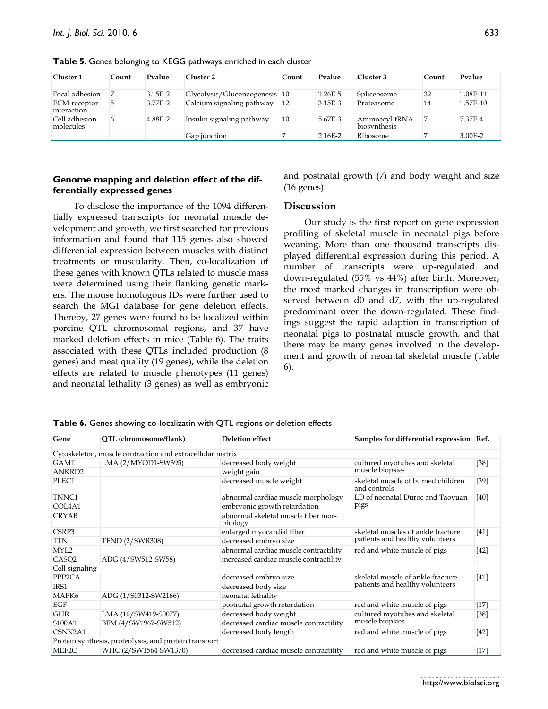| Cluster 1                   | Count | Pvalue  | Cluster 2                     | Count         | Pvalue    | Cluster 3                      | Count | Pvalue   |
|-----------------------------|-------|---------|-------------------------------|---------------|-----------|--------------------------------|-------|----------|
| Focal adhesion              |       | 3.15E-2 | Glycolysis/Gluconeogenesis 10 |               | 1.26E-5   | Spliceosome                    | 22    | 1.08E-11 |
| ECM-receptor<br>interaction | 5     | 3.77E-2 | Calcium signaling pathway     | <sup>12</sup> | 3.15E-3   | Proteasome                     | 14    | 1.57E-10 |
| Cell adhesion<br>molecules  | 6     | 4.88E-2 | Insulin signaling pathway     | 10            | 5.67E-3   | Aminoacyl-tRNA<br>biosynthesis |       | 7.37F-4  |
|                             |       |         | Gap junction                  |               | $2.16E-2$ | Ribosome                       |       | 3.00E-2  |

**Table 5**. Genes belonging to KEGG pathways enriched in each cluster

## **Genome mapping and deletion effect of the differentially expressed genes**

and postnatal growth (7) and body weight and size (16 genes).

## **Discussion**

To disclose the importance of the 1094 differentially expressed transcripts for neonatal muscle development and growth, we first searched for previous information and found that 115 genes also showed differential expression between muscles with distinct treatments or muscularity. Then, co-localization of these genes with known QTLs related to muscle mass were determined using their flanking genetic markers. The mouse homologous IDs were further used to search the MGI database for gene deletion effects. Thereby, 27 genes were found to be localized within porcine QTL chromosomal regions, and 37 have marked deletion effects in mice (Table 6). The traits associated with these QTLs included production (8 genes) and meat quality (19 genes), while the deletion effects are related to muscle phenotypes (11 genes) and neonatal lethality (3 genes) as well as embryonic 6).

Our study is the first report on gene expression profiling of skeletal muscle in neonatal pigs before weaning. More than one thousand transcripts displayed differential expression during this period. A number of transcripts were up-regulated and down-regulated (55% vs 44%) after birth. Moreover, the most marked changes in transcription were observed between d0 and d7, with the up-regulated predominant over the down-regulated. These findings suggest the rapid adaption in transcription of neonatal pigs to postnatal muscle growth, and that there may be many genes involved in the development and growth of neoantal skeletal muscle (Table

**Table 6.** Genes showing co-localizatin with QTL regions or deletion effects

| Gene                            | QTL (chromosome/flank)                                    | <b>Deletion effect</b>                         | Samples for differential expression Ref.           |        |
|---------------------------------|-----------------------------------------------------------|------------------------------------------------|----------------------------------------------------|--------|
|                                 | Cytoskeleton, muscle contraction and extracellular matrix |                                                |                                                    |        |
| <b>GAMT</b>                     | LMA (2/MYOD1-SW395)                                       | decreased body weight                          | cultured myotubes and skeletal                     | [38]   |
| ANKRD2                          |                                                           | weight gain                                    | muscle biopsies                                    |        |
| PLEC1                           |                                                           | decreased muscle weight                        | skeletal muscle of burned children<br>and controls | [39]   |
| TNNC1                           |                                                           | abnormal cardiac muscle morphology             | LD of neonatal Duroc and Taoyuan                   | [40]   |
| COL <sub>4</sub> A <sub>1</sub> |                                                           | embryonic growth retardation                   | pigs                                               |        |
| <b>CRYAB</b>                    |                                                           | abnormal skeletal muscle fiber mor-<br>phology |                                                    |        |
| CSRP3                           |                                                           | enlarged myocardial fiber                      | skeletal muscles of ankle fracture                 | $[41]$ |
| <b>TTN</b>                      | <b>TEND (2/SWR308)</b>                                    | decreased embryo size                          | patients and healthy volunteers                    |        |
| MYL <sub>2</sub>                |                                                           | abnormal cardiac muscle contractility          | red and white muscle of pigs                       | $[42]$ |
| CASQ <sub>2</sub>               | ADG (4/SW512-SW58)                                        | increased cardiac muscle contractility         |                                                    |        |
| Cell signaling                  |                                                           |                                                |                                                    |        |
| PPP <sub>2</sub> CA             |                                                           | decreased embryo size                          | skeletal muscle of ankle fracture                  | $[41]$ |
| IRS1                            |                                                           | decreased body size                            | patients and healthy volunteers                    |        |
| MAPK6                           | ADG (1/S0312-SW2166)                                      | neonatal lethality                             |                                                    |        |
| EGF                             |                                                           | postnatal growth retardation                   | red and white muscle of pigs                       | $[17]$ |
| <b>GHR</b>                      | LMA (16/SW419-S0077)                                      | decreased body weight                          | cultured myotubes and skeletal                     | $[38]$ |
| S100A1                          | BFM (4/SW1967-SW512)                                      | decreased cardiac muscle contractility         | muscle biopsies                                    |        |
| CSNK2A1                         |                                                           | decreased body length                          | red and white muscle of pigs                       | $[42]$ |
|                                 | Protein synthesis, proteolysis, and protein transport     |                                                |                                                    |        |
| MEF <sub>2</sub> C              | WHC (2/SW1564-SW1370)                                     | decreased cardiac muscle contractility         | red and white muscle of pigs                       | $[17]$ |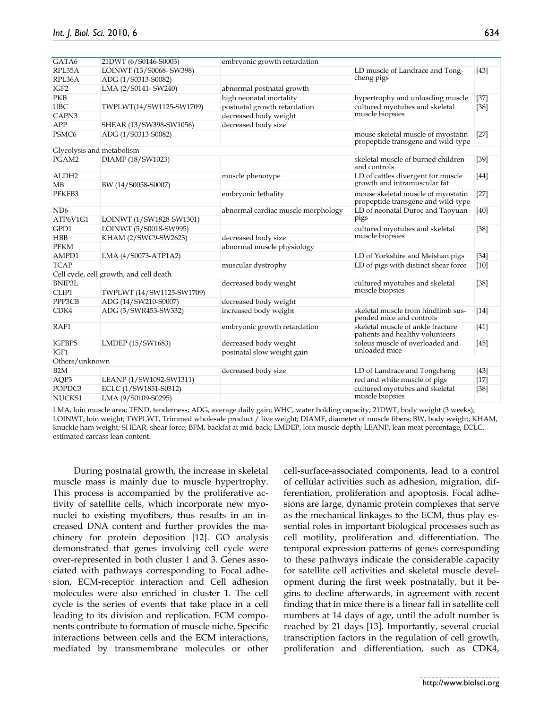| GATA6             | 21DWT (6/S0146-S0003)                   | embryonic growth retardation       |                                                                          |        |
|-------------------|-----------------------------------------|------------------------------------|--------------------------------------------------------------------------|--------|
| RPL35A            | LOINWT (13/S0068- SW398)                |                                    | LD muscle of Landrace and Tong-                                          | [43]   |
| RPL36A            | ADG (1/S0313-S0082)                     |                                    | cheng pigs                                                               |        |
| IGF <sub>2</sub>  | LMA (2/S0141-SW240)                     | abnormal postnatal growth          |                                                                          |        |
| <b>PKB</b>        |                                         | high neonatal mortality            | hypertrophy and unloading muscle                                         | $[37]$ |
| UBC               | TWPLWT(14/SW1125-SW1709)                | postnatal growth retardation       | cultured myotubes and skeletal                                           | $[38]$ |
| CAPN3             |                                         | decreased body weight              | muscle biopsies                                                          |        |
| APP               | SHEAR (13/SW398-SW1056)                 | decreased body size                |                                                                          |        |
| PSMC <sub>6</sub> | ADG (1/S0313-S0082)                     |                                    | mouse skeletal muscle of myostatin<br>propeptide transgene and wild-type | $[27]$ |
|                   | Glycolysis and metabolism               |                                    |                                                                          |        |
| PGAM2             | DIAMF (18/SW1023)                       |                                    | skeletal muscle of burned children<br>and controls                       | $[39]$ |
| ALDH <sub>2</sub> |                                         | muscle phenotype                   | LD of cattles divergent for muscle                                       | [44]   |
| MB                | BW (14/S0058-S0007)                     |                                    | growth and intramuscular fat                                             |        |
| PFKFB3            |                                         | embryonic lethality                | mouse skeletal muscle of myostatin<br>propeptide transgene and wild-type | $[27]$ |
| ND <sub>6</sub>   |                                         | abnormal cardiac muscle morphology | LD of neonatal Duroc and Taoyuan                                         | [40]   |
| ATP6V1G1          | LOINWT (1/SW1828-SW1301)                |                                    | pigs                                                                     |        |
| GPD1              | LOINWT (5/S0018-SW995)                  |                                    | cultured myotubes and skeletal                                           | $[38]$ |
| <b>HBB</b>        | KHAM (2/SWC9-SW2623)                    | decreased body size                | muscle biopsies                                                          |        |
| <b>PFKM</b>       |                                         | abnormal muscle physiology         |                                                                          |        |
| AMPD1             | LMA (4/S0073-ATP1A2)                    |                                    | LD of Yorkshire and Meishan pigs                                         | $[34]$ |
| <b>TCAP</b>       |                                         | muscular dystrophy                 | LD of pigs with distinct shear force                                     | $[10]$ |
|                   | Cell cycle, cell growth, and cell death |                                    |                                                                          |        |
| <b>BNIP3L</b>     |                                         | decreased body weight              | cultured myotubes and skeletal                                           | $[38]$ |
| CLIP1             | TWPLWT (14/SW1125-SW1709)               |                                    | muscle biopsies                                                          |        |
| PPP3CB            | ADG (14/SW210-S0007)                    | decreased body weight              |                                                                          |        |
| CDK4              | ADG (5/SWR453-SW332)                    | increased body weight              | skeletal muscle from hindlimb sus-<br>pended mice and controls           | $[14]$ |
| RAF1              |                                         | embryonic growth retardation       | skeletal muscle of ankle fracture<br>patients and healthy volunteers     | $[41]$ |
| IGFBP5            | LMDEP (15/SW1683)                       | decreased body weight              | soleus muscle of overloaded and                                          | $[45]$ |
| IGF1              |                                         | postnatal slow weight gain         | unloaded mice                                                            |        |
| Others/unknown    |                                         |                                    |                                                                          |        |
| B <sub>2</sub> M  |                                         | decreased body size                | LD of Landrace and Tongcheng                                             | [43]   |
| AQP3              | LEANP (1/SW1092-SW1311)                 |                                    | red and white muscle of pigs                                             | $[17]$ |
| POPDC3            | ECLC (1/SW1851-S0312)                   |                                    | cultured myotubes and skeletal                                           | $[38]$ |
| NUCKS1            | LMA (9/S0109-S0295)                     |                                    | muscle biopsies                                                          |        |

LMA, loin muscle area; TEND, tenderness; ADG, average daily gain; WHC, water holding capacity; 21DWT, body weight (3 weeks); LOINWT, loin weight; TWPLWT, Trimmed wholesale product / live weight; DIAMF, diameter of muscle fibers; BW, body weight; KHAM, knuckle ham weight; SHEAR, shear force; BFM, backfat at mid-back; LMDEP, loin muscle depth; LEANP, lean meat percentage; ECLC, estimated carcass lean content.

During postnatal growth, the increase in skeletal muscle mass is mainly due to muscle hypertrophy. This process is accompanied by the proliferative activity of satellite cells, which incorporate new myonuclei to existing myofibers, thus results in an increased DNA content and further provides the machinery for protein deposition [12]. GO analysis demonstrated that genes involving cell cycle were over-represented in both cluster 1 and 3. Genes associated with pathways corresponding to Focal adhesion, ECM-receptor interaction and Cell adhesion molecules were also enriched in cluster 1. The cell cycle is the series of events that take place in a cell leading to its division and replication. ECM components contribute to formation of muscle niche. Specific interactions between cells and the ECM interactions, mediated by transmembrane molecules or other cell-surface-associated components, lead to a control of cellular activities such as adhesion, migration, differentiation, proliferation and apoptosis. Focal adhesions are large, dynamic protein complexes that serve as the mechanical linkages to the ECM, thus play essential roles in important biological processes such as cell motility, proliferation and differentiation. The temporal expression patterns of genes corresponding to these pathways indicate the considerable capacity for satellite cell activities and skeletal muscle development during the first week postnatally, but it begins to decline afterwards, in agreement with recent finding that in mice there is a linear fall in satellite cell numbers at 14 days of age, until the adult number is reached by 21 days [13]. Importantly, several crucial transcription factors in the regulation of cell growth, proliferation and differentiation, such as CDK4,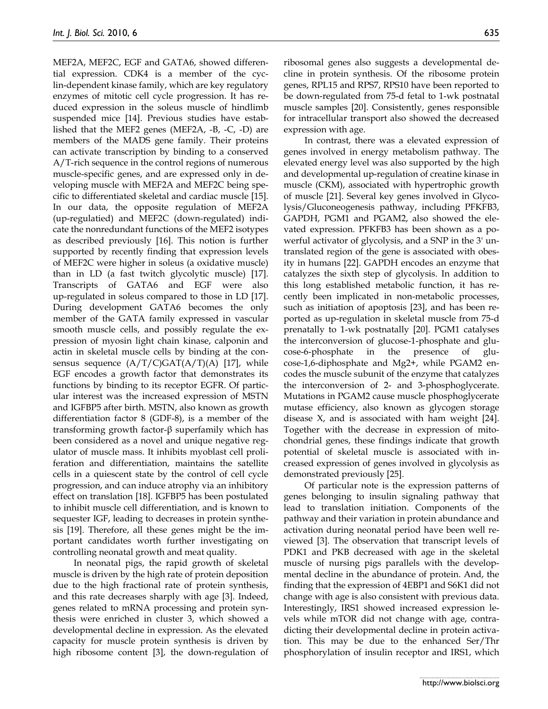MEF2A, MEF2C, EGF and GATA6, showed differential expression. CDK4 is a member of the cyclin-dependent kinase family, which are key regulatory enzymes of mitotic cell cycle progression. It has reduced expression in the soleus muscle of hindlimb suspended mice [14]. Previous studies have established that the MEF2 genes (MEF2A, -B, -C, -D) are members of the MADS gene family. Their proteins can activate transcription by binding to a conserved A/T-rich sequence in the control regions of numerous muscle-specific genes, and are expressed only in developing muscle with MEF2A and MEF2C being specific to differentiated skeletal and cardiac muscle [15]. In our data, the opposite regulation of MEF2A (up-regulatied) and MEF2C (down-regulated) indicate the nonredundant functions of the MEF2 isotypes as described previously [16]. This notion is further supported by recently finding that expression levels of MEF2C were higher in soleus (a oxidative muscle) than in LD (a fast twitch glycolytic muscle) [17]. Transcripts of GATA6 and EGF were also up-regulated in soleus compared to those in LD [17]. During development GATA6 becomes the only member of the GATA family expressed in vascular smooth muscle cells, and possibly regulate the expression of myosin light chain kinase, calponin and actin in skeletal muscle cells by binding at the consensus sequence  $(A/T/C)GAT(A/T)(A)$  [17], while EGF encodes a growth factor that demonstrates its functions by binding to its receptor EGFR. Of particular interest was the increased expression of MSTN and IGFBP5 after birth. MSTN, also known as growth differentiation factor 8 (GDF-8), is a member of the transforming growth factor-β superfamily which has been considered as a novel and unique negative regulator of muscle mass. It inhibits myoblast cell proliferation and differentiation, maintains the satellite cells in a quiescent state by the control of cell cycle progression, and can induce atrophy via an inhibitory effect on translation [18]. IGFBP5 has been postulated to inhibit muscle cell differentiation, and is known to sequester IGF, leading to decreases in protein synthesis [19]. Therefore, all these genes might be the important candidates worth further investigating on controlling neonatal growth and meat quality.

In neonatal pigs, the rapid growth of skeletal muscle is driven by the high rate of protein deposition due to the high fractional rate of protein synthesis, and this rate decreases sharply with age [3]. Indeed, genes related to mRNA processing and protein synthesis were enriched in cluster 3, which showed a developmental decline in expression. As the elevated capacity for muscle protein synthesis is driven by high ribosome content [3], the down-regulation of

ribosomal genes also suggests a developmental decline in protein synthesis. Of the ribosome protein genes, RPL15 and RPS7, RPS10 have been reported to be down-regulated from 75-d fetal to 1-wk postnatal muscle samples [20]. Consistently, genes responsible for intracellular transport also showed the decreased expression with age.

In contrast, there was a elevated expression of genes involved in energy metabolism pathway. The elevated energy level was also supported by the high and developmental up-regulation of creatine kinase in muscle (CKM), associated with hypertrophic growth of muscle [21]. Several key genes involved in Glycolysis/Gluconeogenesis pathway, including PFKFB3, GAPDH, PGM1 and PGAM2, also showed the elevated expression. PFKFB3 has been shown as a powerful activator of glycolysis, and a SNP in the 3' untranslated region of the gene is associated with obesity in humans [22]. GAPDH encodes an enzyme that catalyzes the sixth step of glycolysis. In addition to this long established metabolic function, it has recently been implicated in non-metabolic processes, such as initiation of apoptosis [23], and has been reported as up-regulation in skeletal muscle from 75-d prenatally to 1-wk postnatally [20]. PGM1 catalyses the interconversion of glucose-1-phosphate and glucose-6-phosphate in the presence of glucose-1,6-diphosphate and Mg2+, while PGAM2 encodes the muscle subunit of the enzyme that catalyzes the interconversion of 2- and 3-phosphoglycerate. Mutations in PGAM2 cause muscle phosphoglycerate mutase efficiency, also known as glycogen storage disease X, and is associated with ham weight [24]. Together with the decrease in expression of mitochondrial genes, these findings indicate that growth potential of skeletal muscle is associated with increased expression of genes involved in glycolysis as demonstrated previously [25].

Of particular note is the expression patterns of genes belonging to insulin signaling pathway that lead to translation initiation. Components of the pathway and their variation in protein abundance and activation during neonatal period have been well reviewed [3]. The observation that transcript levels of PDK1 and PKB decreased with age in the skeletal muscle of nursing pigs parallels with the developmental decline in the abundance of protein. And, the finding that the expression of 4EBP1 and S6K1 did not change with age is also consistent with previous data. Interestingly, IRS1 showed increased expression levels while mTOR did not change with age, contradicting their developmental decline in protein activation. This may be due to the enhanced Ser/Thr phosphorylation of insulin receptor and IRS1, which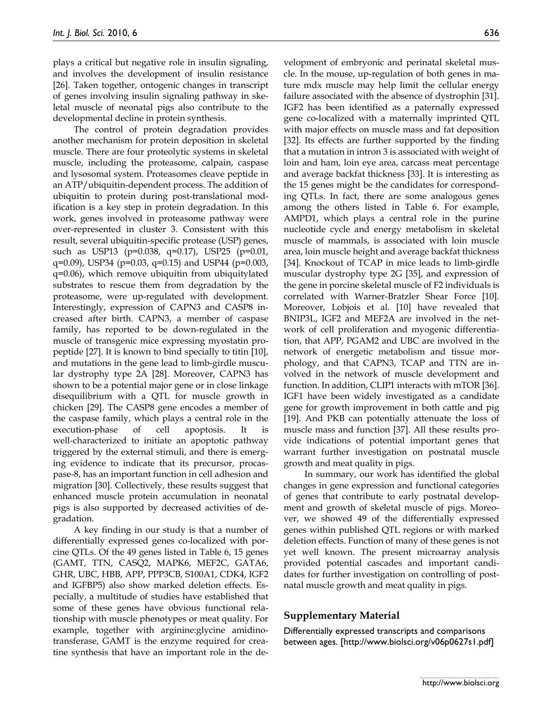plays a critical but negative role in insulin signaling, and involves the development of insulin resistance [26]. Taken together, ontogenic changes in transcript of genes involving insulin signaling pathway in skeletal muscle of neonatal pigs also contribute to the developmental decline in protein synthesis.

The control of protein degradation provides another mechanism for protein deposition in skeletal muscle. There are four proteolytic systems in skeletal muscle, including the proteasome, calpain, caspase and lysosomal system. Proteasomes cleave peptide in an ATP/ubiquitin-dependent process. The addition of ubiquitin to protein during post-translational modification is a key step in protein degradation. In this work, genes involved in proteasome pathway were over-represented in cluster 3. Consistent with this result, several ubiquitin-specific protease (USP) genes, such as USP13 (p=0.038, q=0.17), USP25 (p=0.01, q=0.09), USP34 (p=0.03, q=0.15) and USP44 (p=0.003, q=0.06), which remove ubiquitin from ubiquitylated substrates to rescue them from degradation by the proteasome, were up-regulated with development. Interestingly, expression of CAPN3 and CASP8 increased after birth. CAPN3, a member of caspase family, has reported to be down-regulated in the muscle of transgenic mice expressing myostatin propeptide [27]. It is known to bind specially to titin [10], and mutations in the gene lead to limb-girdle muscular dystrophy type 2A [28]. Moreover, CAPN3 has shown to be a potential major gene or in close linkage disequilibrium with a QTL for muscle growth in chicken [29]. The CASP8 gene encodes a member of the caspase family, which plays a central role in the execution-phase of cell apoptosis. It is well-characterized to initiate an apoptotic pathway triggered by the external stimuli, and there is emerging evidence to indicate that its precursor, procaspase-8, has an important function in cell adhesion and migration [30]. Collectively, these results suggest that enhanced muscle protein accumulation in neonatal pigs is also supported by decreased activities of degradation.

A key finding in our study is that a number of differentially expressed genes co-localized with porcine QTLs. Of the 49 genes listed in Table 6, 15 genes (GAMT, TTN, CASQ2, MAPK6, MEF2C, GATA6, GHR, UBC, HBB, APP, PPP3CB, S100A1, CDK4, IGF2 and IGFBP5) also show marked deletion effects. Especially, a multitude of studies have established that some of these genes have obvious functional relationship with muscle phenotypes or meat quality. For example, together with arginine:glycine amidinotransferase, GAMT is the enzyme required for creatine synthesis that have an important role in the de-

velopment of embryonic and perinatal skeletal muscle. In the mouse, up-regulation of both genes in mature mdx muscle may help limit the cellular energy failure associated with the absence of dystrophin [31]. IGF2 has been identified as a paternally expressed gene co-localized with a maternally imprinted QTL with major effects on muscle mass and fat deposition [32]. Its effects are further supported by the finding that a mutation in intron 3 is associated with weight of loin and ham, loin eye area, carcass meat percentage and average backfat thickness [33]. It is interesting as the 15 genes might be the candidates for corresponding QTLs. In fact, there are some analogous genes among the others listed in Table 6. For example, AMPD1, which plays a central role in the purine nucleotide cycle and energy metabolism in skeletal muscle of mammals, is associated with loin muscle area, loin muscle height and average backfat thickness [34]. Knockout of TCAP in mice leads to limb-girdle muscular dystrophy type 2G [35], and expression of the gene in porcine skeletal muscle of F2 individuals is correlated with Warner-Bratzler Shear Force [10]. Moreover, Lobjois et al. [10] have revealed that BNIP3L, IGF2 and MEF2A are involved in the network of cell proliferation and myogenic differentiation, that APP, PGAM2 and UBC are involved in the network of energetic metabolism and tissue morphology, and that CAPN3, TCAP and TTN are involved in the network of muscle development and function. In addition, CLIP1 interacts with mTOR [36]. IGF1 have been widely investigated as a candidate gene for growth improvement in both cattle and pig [19]. And PKB can potentially attenuate the loss of muscle mass and function [37]. All these results provide indications of potential important genes that warrant further investigation on postnatal muscle growth and meat quality in pigs.

In summary, our work has identified the global changes in gene expression and functional categories of genes that contribute to early postnatal development and growth of skeletal muscle of pigs. Moreover, we showed 49 of the differentially expressed genes within published QTL regions or with marked deletion effects. Function of many of these genes is not yet well known. The present microarray analysis provided potential cascades and important candidates for further investigation on controlling of postnatal muscle growth and meat quality in pigs.

## **Supplementary Material**

Differentially expressed transcripts and comparisons between ages. [http://www.biolsci.org/v06p0627s1.pdf]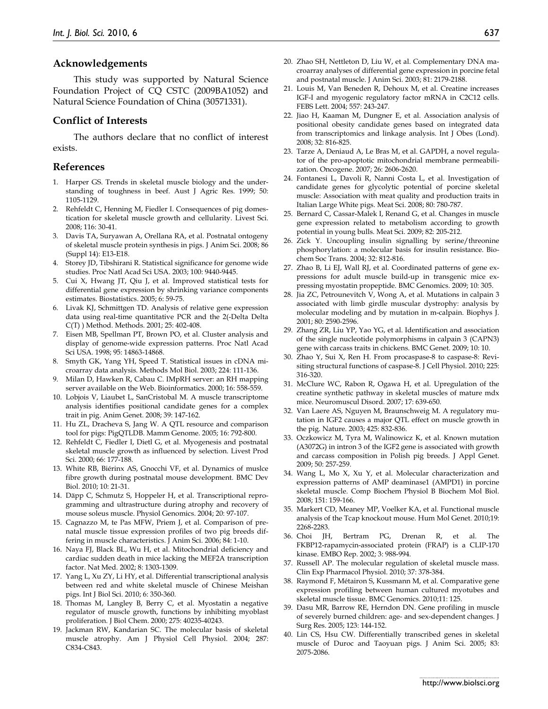## **Acknowledgements**

This study was supported by Natural Science Foundation Project of CQ CSTC (2009BA1052) and Natural Science Foundation of China (30571331).

## **Conflict of Interests**

The authors declare that no conflict of interest exists.

## **References**

- 1. Harper GS. Trends in skeletal muscle biology and the understanding of toughness in beef. Aust J Agric Res. 1999; 50: 1105-1129.
- 2. Rehfeldt C, Henning M, Fiedler I. Consequences of pig domestication for skeletal muscle growth and cellularity. Livest Sci. 2008; 116: 30-41.
- 3. Davis TA, Suryawan A, Orellana RA, et al. Postnatal ontogeny of skeletal muscle protein synthesis in pigs. J Anim Sci. 2008; 86 (Suppl 14): E13-E18.
- 4. Storey JD, Tibshirani R. Statistical significance for genome wide studies. Proc Natl Acad Sci USA. 2003; 100: 9440-9445.
- 5. Cui X, Hwang JT, Qiu J, et al. Improved statistical tests for differential gene expression by shrinking variance components estimates. Biostatistics. 2005; 6: 59-75.
- 6. Livak KJ, Schmittgen TD. Analysis of relative gene expression data using real-time quantitative PCR and the 2(-Delta Delta C(T) ) Method. Methods. 2001; 25: 402-408.
- 7. Eisen MB, Spellman PT, Brown PO, et al. Cluster analysis and display of genome-wide expression patterns. Proc Natl Acad Sci USA. 1998; 95: 14863-14868.
- 8. Smyth GK, Yang YH, Speed T. Statistical issues in cDNA microarray data analysis. Methods Mol Biol. 2003; 224: 111-136.
- 9. Milan D, Hawken R, Cabau C. IMpRH server: an RH mapping server available on the Web. Bioinformatics. 2000; 16: 558-559.
- 10. Lobjois V, Liaubet L, SanCristobal M. A muscle transcriptome analysis identifies positional candidate genes for a complex trait in pig. Anim Genet. 2008; 39: 147-162.
- 11. Hu ZL, Dracheva S, Jang W. A QTL resource and comparison tool for pigs: PigQTLDB. Mamm Genome. 2005; 16: 792-800.
- 12. Rehfeldt C, Fiedler I, Dietl G, et al. Myogenesis and postnatal skeletal muscle growth as influenced by selection. Livest Prod Sci. 2000; 66: 177-188.
- 13. White RB, Biérinx AS, Gnocchi VF, et al. Dynamics of muslce fibre growth during postnatal mouse development. BMC Dev Biol. 2010; 10: 21-31.
- 14. Däpp C, Schmutz S, Hoppeler H, et al. Transcriptional reprogramming and ultrastructure during atrophy and recovery of mouse soleus muscle. Physiol Genomics. 2004; 20: 97-107.
- 15. Cagnazzo M, te Pas MFW, Priem J, et al. Comparison of prenatal muscle tissue expression profiles of two pig breeds differing in muscle characteristics. J Anim Sci. 2006; 84: 1-10.
- 16. Naya FJ, Black BL, Wu H, et al. Mitochondrial deficiency and cardiac sudden death in mice lacking the MEF2A transcription factor. Nat Med. 2002; 8: 1303-1309.
- 17. Yang L, Xu ZY, Li HY, et al. Differential transcriptional analysis between red and white skeletal muscle of Chinese Meishan pigs. Int J Biol Sci. 2010; 6: 350-360.
- 18. Thomas M, Langley B, Berry C, et al. Myostatin a negative regulator of muscle growth, functions by inhibiting myoblast proliferation. J Biol Chem. 2000; 275: 40235-40243.
- 19. Jackman RW, Kandarian SC. The molecular basis of skeletal muscle atrophy. Am J Physiol Cell Physiol. 2004; 287: C834-C843.
- 20. Zhao SH, Nettleton D, Liu W, et al. Complementary DNA macroarray analyses of differential gene expression in porcine fetal and postnatal muscle. J Anim Sci. 2003; 81: 2179-2188.
- 21. Louis M, Van Beneden R, Dehoux M, et al. Creatine increases IGF-I and myogenic regulatory factor mRNA in C2C12 cells. FEBS Lett. 2004; 557: 243-247.
- 22. Jiao H, Kaaman M, Dungner E, et al. Association analysis of positional obesity candidate genes based on integrated data from transcriptomics and linkage analysis. Int J Obes (Lond). 2008; 32: 816-825.
- 23. Tarze A, Deniaud A, Le Bras M, et al. GAPDH, a novel regulator of the pro-apoptotic mitochondrial membrane permeabilization. Oncogene. 2007; 26: 2606-2620.
- 24. Fontanesi L, Davoli R, Nanni Costa L, et al. Investigation of candidate genes for glycolytic potential of porcine skeletal muscle: Association with meat quality and production traits in Italian Large White pigs. Meat Sci. 2008; 80: 780-787.
- 25. Bernard C, Cassar-Malek I, Renand G, et al. Changes in muscle gene expression related to metabolism according to growth potential in young bulls. Meat Sci. 2009; 82: 205-212.
- 26. Zick Y. Uncoupling insulin signalling by serine/threonine phosphorylation: a molecular basis for insulin resistance. Biochem Soc Trans. 2004; 32: 812-816.
- 27. Zhao B, Li EJ, Wall RJ, et al. Coordinated patterns of gene expressions for adult muscle build-up in transgenic mice expressing myostatin propeptide. BMC Genomics. 2009; 10: 305.
- 28. Jia ZC, Petrounevitch V, Wong A, et al. Mutations in calpain 3 associated with limb girdle muscular dystrophy: analysis by molecular modeling and by mutation in m-calpain. Biophys J. 2001; 80: 2590-2596.
- 29. Zhang ZR, Liu YP, Yao YG, et al. Identification and association of the single nucleotide polymorphisms in calpain 3 (CAPN3) gene with carcass traits in chickens. BMC Genet. 2009; 10: 10.
- 30. Zhao Y, Sui X, Ren H. From procaspase-8 to caspase-8: Revisiting structural functions of caspase-8. J Cell Physiol. 2010; 225: 316-320.
- 31. McClure WC, Rabon R, Ogawa H, et al. Upregulation of the creatine synthetic pathway in skeletal muscles of mature mdx mice. Neuromuscul Disord. 2007; 17: 639-650.
- 32. Van Laere AS, Nguyen M, Braunschweig M. A regulatory mutation in IGF2 causes a major QTL effect on muscle growth in the pig. Nature. 2003; 425: 832-836.
- 33. Oczkowicz M, Tyra M, Walinowicz K, et al. Known mutation (A3072G) in intron 3 of the IGF2 gene is associated with growth and carcass composition in Polish pig breeds. J Appl Genet. 2009; 50: 257-259.
- 34. Wang L, Mo X, Xu Y, et al. Molecular characterization and expression patterns of AMP deaminase1 (AMPD1) in porcine skeletal muscle. Comp Biochem Physiol B Biochem Mol Biol. 2008; 151: 159-166.
- 35. Markert CD, Meaney MP, Voelker KA, et al. Functional muscle analysis of the Tcap knockout mouse. Hum Mol Genet. 2010;19: 2268-2283.
- 36. Choi JH, Bertram PG, Drenan R, et al. The FKBP12-rapamycin-associated protein (FRAP) is a CLIP-170 kinase. EMBO Rep. 2002; 3: 988-994.
- 37. Russell AP. The molecular regulation of skeletal muscle mass. Clin Exp Pharmacol Physiol. 2010; 37: 378-384.
- 38. Raymond F, Métairon S, Kussmann M, et al. Comparative gene expression profiling between human cultured myotubes and skeletal muscle tissue. BMC Genomics. 2010;11: 125.
- 39. Dasu MR, Barrow RE, Herndon DN. Gene profiling in muscle of severely burned children: age- and sex-dependent changes. J Surg Res. 2005; 123: 144-152.
- 40. Lin CS, Hsu CW. Differentially transcribed genes in skeletal muscle of Duroc and Taoyuan pigs. J Anim Sci. 2005; 83: 2075-2086.